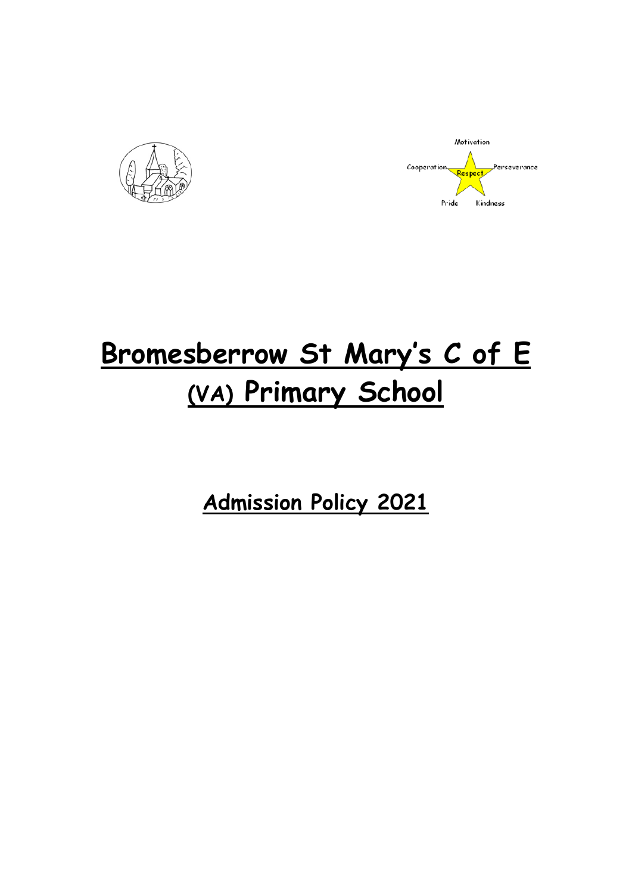



# **Bromesberrow St Mary's C of E (VA) Primary School**

**Admission Policy 2021**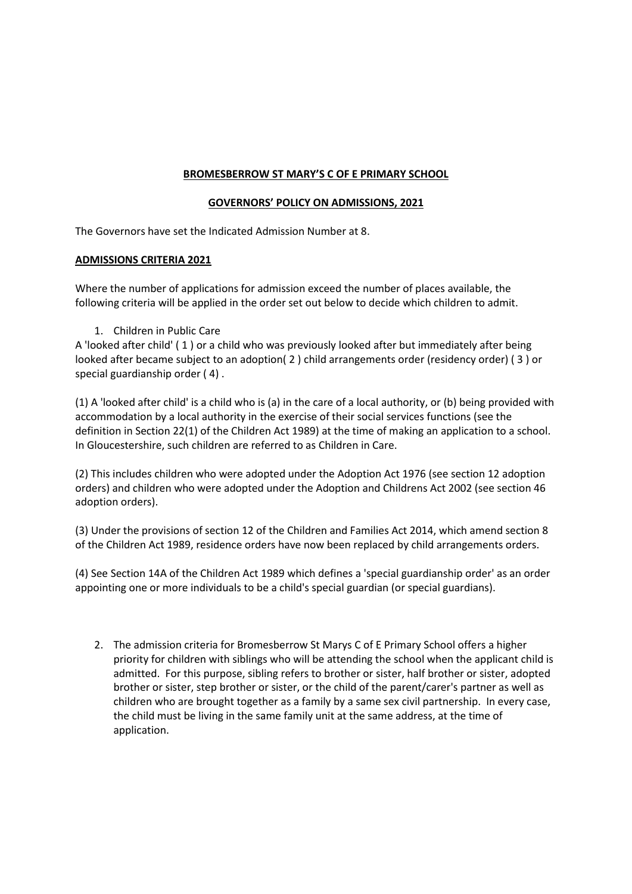## **BROMESBERROW ST MARY'S C OF E PRIMARY SCHOOL**

## **GOVERNORS' POLICY ON ADMISSIONS, 2021**

The Governors have set the Indicated Admission Number at 8.

## **ADMISSIONS CRITERIA 2021**

Where the number of applications for admission exceed the number of places available, the following criteria will be applied in the order set out below to decide which children to admit.

1. Children in Public Care

A 'looked after child' ( 1 ) or a child who was previously looked after but immediately after being looked after became subject to an adoption( 2 ) child arrangements order (residency order) ( 3 ) or special guardianship order ( 4) .

(1) A 'looked after child' is a child who is (a) in the care of a local authority, or (b) being provided with accommodation by a local authority in the exercise of their social services functions (see the definition in Section 22(1) of the Children Act 1989) at the time of making an application to a school. In Gloucestershire, such children are referred to as Children in Care.

(2) This includes children who were adopted under the Adoption Act 1976 (see section 12 adoption orders) and children who were adopted under the Adoption and Childrens Act 2002 (see section 46 adoption orders).

(3) Under the provisions of section 12 of the Children and Families Act 2014, which amend section 8 of the Children Act 1989, residence orders have now been replaced by child arrangements orders.

(4) See Section 14A of the Children Act 1989 which defines a 'special guardianship order' as an order appointing one or more individuals to be a child's special guardian (or special guardians).

2. The admission criteria for Bromesberrow St Marys C of E Primary School offers a higher priority for children with siblings who will be attending the school when the applicant child is admitted. For this purpose, sibling refers to brother or sister, half brother or sister, adopted brother or sister, step brother or sister, or the child of the parent/carer's partner as well as children who are brought together as a family by a same sex civil partnership. In every case, the child must be living in the same family unit at the same address, at the time of application.